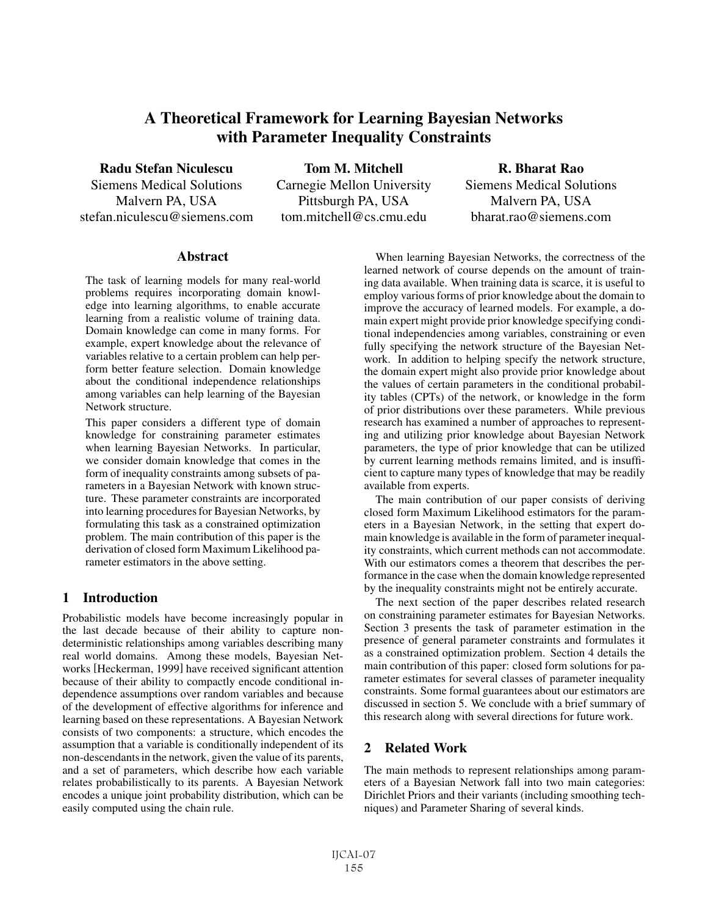# A Theoretical Framework for Learning Bayesian Networks with Parameter Inequality Constraints

Radu Stefan Niculescu

Siemens Medical Solutions Malvern PA, USA stefan.niculescu@siemens.com

Tom M. Mitchell Carnegie Mellon University Pittsburgh PA, USA tom.mitchell@cs.cmu.edu

R. Bharat Rao Siemens Medical Solutions Malvern PA, USA bharat.rao@siemens.com

#### **Abstract**

The task of learning models for many real-world problems requires incorporating domain knowledge into learning algorithms, to enable accurate learning from a realistic volume of training data. Domain knowledge can come in many forms. For example, expert knowledge about the relevance of variables relative to a certain problem can help perform better feature selection. Domain knowledge about the conditional independence relationships among variables can help learning of the Bayesian Network structure.

This paper considers a different type of domain knowledge for constraining parameter estimates when learning Bayesian Networks. In particular, we consider domain knowledge that comes in the form of inequality constraints among subsets of parameters in a Bayesian Network with known structure. These parameter constraints are incorporated into learning procedures for Bayesian Networks, by formulating this task as a constrained optimization problem. The main contribution of this paper is the derivation of closed form Maximum Likelihood parameter estimators in the above setting.

## 1 Introduction

Probabilistic models have become increasingly popular in the last decade because of their ability to capture nondeterministic relationships among variables describing many real world domains. Among these models, Bayesian Networks [Heckerman, 1999] have received significant attention because of their ability to compactly encode conditional independence assumptions over random variables and because of the development of effective algorithms for inference and learning based on these representations. A Bayesian Network consists of two components: a structure, which encodes the assumption that a variable is conditionally independent of its non-descendants in the network, given the value of its parents, and a set of parameters, which describe how each variable relates probabilistically to its parents. A Bayesian Network encodes a unique joint probability distribution, which can be easily computed using the chain rule.

When learning Bayesian Networks, the correctness of the learned network of course depends on the amount of training data available. When training data is scarce, it is useful to employ various forms of prior knowledge about the domain to improve the accuracy of learned models. For example, a domain expert might provide prior knowledge specifying conditional independencies among variables, constraining or even fully specifying the network structure of the Bayesian Network. In addition to helping specify the network structure, the domain expert might also provide prior knowledge about the values of certain parameters in the conditional probability tables (CPTs) of the network, or knowledge in the form of prior distributions over these parameters. While previous research has examined a number of approaches to representing and utilizing prior knowledge about Bayesian Network parameters, the type of prior knowledge that can be utilized by current learning methods remains limited, and is insufficient to capture many types of knowledge that may be readily available from experts.

The main contribution of our paper consists of deriving closed form Maximum Likelihood estimators for the parameters in a Bayesian Network, in the setting that expert domain knowledge is available in the form of parameter inequality constraints, which current methods can not accommodate. With our estimators comes a theorem that describes the performance in the case when the domain knowledge represented by the inequality constraints might not be entirely accurate.

The next section of the paper describes related research on constraining parameter estimates for Bayesian Networks. Section 3 presents the task of parameter estimation in the presence of general parameter constraints and formulates it as a constrained optimization problem. Section 4 details the main contribution of this paper: closed form solutions for parameter estimates for several classes of parameter inequality constraints. Some formal guarantees about our estimators are discussed in section 5. We conclude with a brief summary of this research along with several directions for future work.

# 2 Related Work

The main methods to represent relationships among parameters of a Bayesian Network fall into two main categories: Dirichlet Priors and their variants (including smoothing techniques) and Parameter Sharing of several kinds.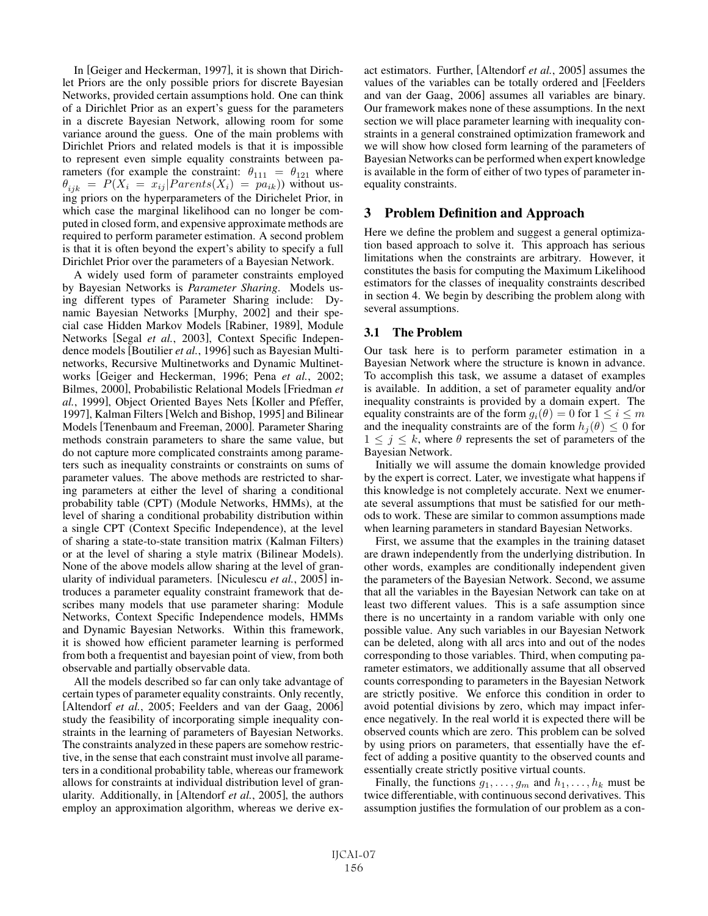In [Geiger and Heckerman, 1997], it is shown that Dirichlet Priors are the only possible priors for discrete Bayesian Networks, provided certain assumptions hold. One can think of a Dirichlet Prior as an expert's guess for the parameters in a discrete Bayesian Network, allowing room for some variance around the guess. One of the main problems with Dirichlet Priors and related models is that it is impossible to represent even simple equality constraints between parameters (for example the constraint:  $\theta_{111} = \theta_{121}$  where  $\theta_{ijk}$  =  $P(X_i = x_{ij} | Parents(X_i) = pa_{ik})$  without using priors on the hyperparameters of the Dirichelet Prior, in which case the marginal likelihood can no longer be computed in closed form, and expensive approximate methods are required to perform parameter estimation. A second problem is that it is often beyond the expert's ability to specify a full Dirichlet Prior over the parameters of a Bayesian Network.

A widely used form of parameter constraints employed by Bayesian Networks is *Parameter Sharing*. Models using different types of Parameter Sharing include: Dynamic Bayesian Networks [Murphy, 2002] and their special case Hidden Markov Models [Rabiner, 1989], Module Networks [Segal *et al.*, 2003], Context Specific Independence models [Boutilier *et al.*, 1996] such as Bayesian Multinetworks, Recursive Multinetworks and Dynamic Multinetworks [Geiger and Heckerman, 1996; Pena *et al.*, 2002; Bilmes, 2000], Probabilistic Relational Models [Friedman *et al.*, 1999], Object Oriented Bayes Nets [Koller and Pfeffer, 1997], Kalman Filters [Welch and Bishop, 1995] and Bilinear Models [Tenenbaum and Freeman, 2000]. Parameter Sharing methods constrain parameters to share the same value, but do not capture more complicated constraints among parameters such as inequality constraints or constraints on sums of parameter values. The above methods are restricted to sharing parameters at either the level of sharing a conditional probability table (CPT) (Module Networks, HMMs), at the level of sharing a conditional probability distribution within a single CPT (Context Specific Independence), at the level of sharing a state-to-state transition matrix (Kalman Filters) or at the level of sharing a style matrix (Bilinear Models). None of the above models allow sharing at the level of granularity of individual parameters. [Niculescu *et al.*, 2005] introduces a parameter equality constraint framework that describes many models that use parameter sharing: Module Networks, Context Specific Independence models, HMMs and Dynamic Bayesian Networks. Within this framework, it is showed how efficient parameter learning is performed from both a frequentist and bayesian point of view, from both observable and partially observable data.

All the models described so far can only take advantage of certain types of parameter equality constraints. Only recently, [Altendorf *et al.*, 2005; Feelders and van der Gaag, 2006] study the feasibility of incorporating simple inequality constraints in the learning of parameters of Bayesian Networks. The constraints analyzed in these papers are somehow restrictive, in the sense that each constraint must involve all parameters in a conditional probability table, whereas our framework allows for constraints at individual distribution level of granularity. Additionally, in [Altendorf *et al.*, 2005], the authors employ an approximation algorithm, whereas we derive exact estimators. Further, [Altendorf *et al.*, 2005] assumes the values of the variables can be totally ordered and [Feelders and van der Gaag, 2006] assumes all variables are binary. Our framework makes none of these assumptions. In the next section we will place parameter learning with inequality constraints in a general constrained optimization framework and we will show how closed form learning of the parameters of Bayesian Networks can be performed when expert knowledge is available in the form of either of two types of parameter inequality constraints.

## 3 Problem Definition and Approach

Here we define the problem and suggest a general optimization based approach to solve it. This approach has serious limitations when the constraints are arbitrary. However, it constitutes the basis for computing the Maximum Likelihood estimators for the classes of inequality constraints described in section 4. We begin by describing the problem along with several assumptions.

## 3.1 The Problem

Our task here is to perform parameter estimation in a Bayesian Network where the structure is known in advance. To accomplish this task, we assume a dataset of examples is available. In addition, a set of parameter equality and/or inequality constraints is provided by a domain expert. The equality constraints are of the form  $g_i(\theta)=0$  for  $1 \leq i \leq m$ and the inequality constraints are of the form  $h_i(\theta) \leq 0$  for  $1 \leq j \leq k$ , where  $\theta$  represents the set of parameters of the Bayesian Network.

Initially we will assume the domain knowledge provided by the expert is correct. Later, we investigate what happens if this knowledge is not completely accurate. Next we enumerate several assumptions that must be satisfied for our methods to work. These are similar to common assumptions made when learning parameters in standard Bayesian Networks.

First, we assume that the examples in the training dataset are drawn independently from the underlying distribution. In other words, examples are conditionally independent given the parameters of the Bayesian Network. Second, we assume that all the variables in the Bayesian Network can take on at least two different values. This is a safe assumption since there is no uncertainty in a random variable with only one possible value. Any such variables in our Bayesian Network can be deleted, along with all arcs into and out of the nodes corresponding to those variables. Third, when computing parameter estimators, we additionally assume that all observed counts corresponding to parameters in the Bayesian Network are strictly positive. We enforce this condition in order to avoid potential divisions by zero, which may impact inference negatively. In the real world it is expected there will be observed counts which are zero. This problem can be solved by using priors on parameters, that essentially have the effect of adding a positive quantity to the observed counts and essentially create strictly positive virtual counts.

Finally, the functions  $g_1, \ldots, g_m$  and  $h_1, \ldots, h_k$  must be twice differentiable, with continuous second derivatives. This assumption justifies the formulation of our problem as a con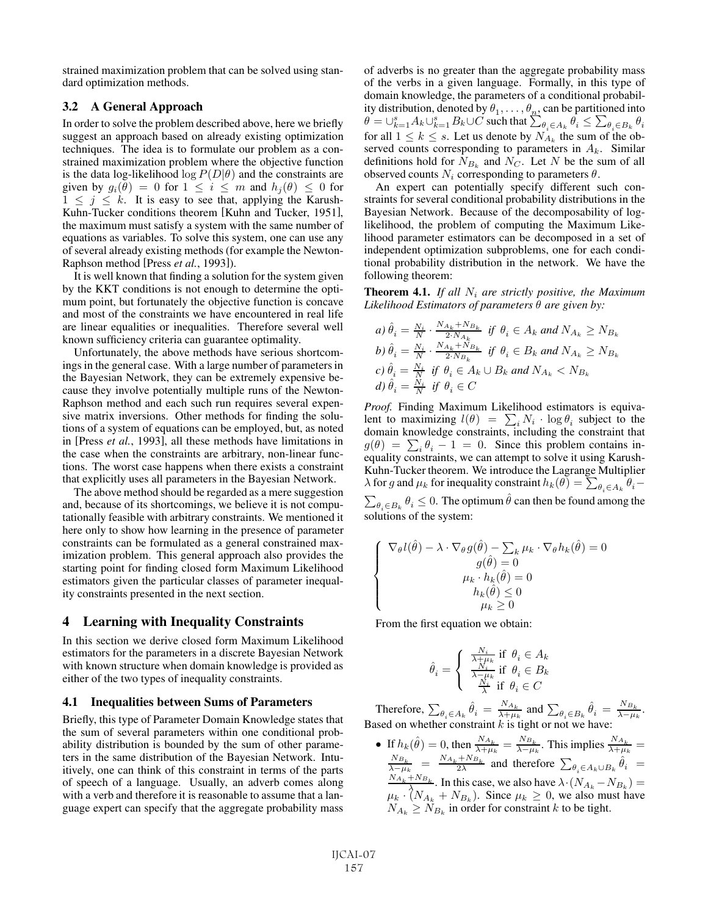strained maximization problem that can be solved using standard optimization methods.

## 3.2 A General Approach

In order to solve the problem described above, here we briefly suggest an approach based on already existing optimization techniques. The idea is to formulate our problem as a constrained maximization problem where the objective function is the data log-likelihood  $\log P(D|\theta)$  and the constraints are given by  $g_i(\theta) = 0$  for  $1 \leq i \leq m$  and  $h_j(\theta) \leq 0$  for  $1 \leq j \leq k$ . It is easy to see that, applying the Karush-Kuhn-Tucker conditions theorem [Kuhn and Tucker, 1951], the maximum must satisfy a system with the same number of equations as variables. To solve this system, one can use any of several already existing methods (for example the Newton-Raphson method [Press *et al.*, 1993]).

It is well known that finding a solution for the system given by the KKT conditions is not enough to determine the optimum point, but fortunately the objective function is concave and most of the constraints we have encountered in real life are linear equalities or inequalities. Therefore several well known sufficiency criteria can guarantee optimality.

Unfortunately, the above methods have serious shortcomings in the general case. With a large number of parameters in the Bayesian Network, they can be extremely expensive because they involve potentially multiple runs of the Newton-Raphson method and each such run requires several expensive matrix inversions. Other methods for finding the solutions of a system of equations can be employed, but, as noted in [Press *et al.*, 1993], all these methods have limitations in the case when the constraints are arbitrary, non-linear functions. The worst case happens when there exists a constraint that explicitly uses all parameters in the Bayesian Network.

The above method should be regarded as a mere suggestion and, because of its shortcomings, we believe it is not computationally feasible with arbitrary constraints. We mentioned it here only to show how learning in the presence of parameter constraints can be formulated as a general constrained maximization problem. This general approach also provides the starting point for finding closed form Maximum Likelihood estimators given the particular classes of parameter inequality constraints presented in the next section.

#### 4 Learning with Inequality Constraints

In this section we derive closed form Maximum Likelihood estimators for the parameters in a discrete Bayesian Network with known structure when domain knowledge is provided as either of the two types of inequality constraints.

#### 4.1 Inequalities between Sums of Parameters

Briefly, this type of Parameter Domain Knowledge states that the sum of several parameters within one conditional probability distribution is bounded by the sum of other parameters in the same distribution of the Bayesian Network. Intuitively, one can think of this constraint in terms of the parts of speech of a language. Usually, an adverb comes along with a verb and therefore it is reasonable to assume that a language expert can specify that the aggregate probability mass of adverbs is no greater than the aggregate probability mass of the verbs in a given language. Formally, in this type of domain knowledge, the parameters of a conditional probability distribution, denoted by  $\theta_1, \ldots, \theta_n$ , can be partitioned into  $\theta = \bigcup_{k=1}^{s} A_k \bigcup_{k=1}^{s} B_k \cup C$  such that  $\sum_{\theta_i \in A_k} \theta_i \leq \sum_{\theta_i \in B_k} \theta_i$ for all  $1 \leq k \leq s$ . Let us denote by  $N_{A_k}$  the sum of the observed counts corresponding to parameters in  $A_k$ . Similar definitions hold for  $N_{B_k}$  and  $N_C$ . Let N be the sum of all observed counts  $N_i$  corresponding to parameters  $\theta$ .

An expert can potentially specify different such constraints for several conditional probability distributions in the Bayesian Network. Because of the decomposability of loglikelihood, the problem of computing the Maximum Likelihood parameter estimators can be decomposed in a set of independent optimization subproblems, one for each conditional probability distribution in the network. We have the following theorem:

**Theorem 4.1.** If all  $N_i$  are strictly positive, the Maximum *Likelihood Estimators of parameters* θ *are given by:*

\n
$$
a) \hat{\theta}_i = \frac{N_i}{N} \cdot \frac{N_{A_k} + N_{B_k}}{2 \cdot N_{A_k}}
$$
\n*if*\n $\theta_i \in A_k$ \n*and*\n $N_{A_k} \geq N_{B_k}$ \n

\n\n $b) \hat{\theta}_i = \frac{N_i}{N} \cdot \frac{N_{A_k} + N_{B_k}}{2 \cdot N_{B_k}}$ \n*if*\n $\theta_i \in B_k$ \n*and*\n $N_{A_k} \geq N_{B_k}$ \n

\n\n $c) \hat{\theta}_i = \frac{N_i}{N}$ \n*if*\n $\theta_i \in A_k \cup B_k$ \n*and*\n $N_{A_k} < N_{B_k}$ \n

\n\n $d) \hat{\theta}_i = \frac{N_i}{N}$ \n*if*\n $\theta_i \in C$ \n

*Proof.* Finding Maximum Likelihood estimators is equivalent to maximizing  $l(\theta) = \sum_i N_i \cdot \log \theta_i$  subject to the domain knowledge constraints, including the constraint that  $g(\theta) = \sum_i \theta_i - 1 = 0$ . Since this problem contains in-<br>equality constraints, we can attempt to solve it using Karushequality constraints, we can attempt to solve it using Karush-Kuhn-Tucker theorem. We introduce the Lagrange Multiplier  $\lambda$  for g and  $\mu_k$  for inequality constraint  $h_k(\theta) = \sum_{k=1}^{\infty}$  $\lambda$  for g and  $\mu_k$  for inequality constraint  $h_k(\theta) = \sum_{\theta_i \in A_k} \theta_i - \sum_{\theta_i \in B_k} \theta_i \leq 0$ . The optimum  $\hat{\theta}$  can then be found among the  $\sum_{\theta_i \in B_k} \theta_i \leq 0$ . The optimum  $\theta$  can then be found among the solutions of the system: solutions of the system:

$$
\left\{\begin{array}{c} \nabla_{\theta}l(\hat{\theta}) - \lambda \cdot \nabla_{\theta}g(\hat{\theta}) - \sum_{k}\mu_{k} \cdot \nabla_{\theta}h_{k}(\hat{\theta}) = 0 \\ g(\hat{\theta}) = 0 \\ \mu_{k} \cdot h_{k}(\hat{\theta}) = 0 \\ h_{k}(\hat{\theta}) \leq 0 \\ \mu_{k} \geq 0 \end{array}\right.
$$

From the first equation we obtain:

$$
\hat{\theta}_i = \left\{ \begin{array}{ll} \frac{N_i}{\lambda + \mu_k} \text{ if } \theta_i \in A_k \\ \frac{N_i}{\lambda - \mu_k} \text{ if } \theta_i \in B_k \\ \frac{N_i}{\lambda} \text{ if } \theta_i \in C \end{array} \right.
$$

Therefore,  $\sum_{\theta_i \in A_k} \hat{\theta}_i = \frac{N_{A_k}}{\lambda + \mu_k}$  and  $\sum_{\theta_i \in B_k} \hat{\theta}_i = \frac{N_{B_k}}{\lambda - \mu_k}$ . Based on whether constraint k is tight or not we have:

• If  $h_k(\hat{\theta}) = 0$ , then  $\frac{N_{A_k}}{\lambda + \mu_k} = \frac{N_{B_k}}{\lambda - \mu_k}$ . This implies  $\frac{N_{A_k}}{\lambda + \mu_k} = \frac{N_{B_k}}{2\lambda}$  and therefore  $\sum_{\theta_i \in A_k \cup B_k} \hat{\theta}_i = \frac{N_{A_k} + N_{B_k}}{\lambda + \lambda_{B_k}}$ . In this case, we also have  $\lambda \cdot (N_{A_k} - N_{B_k}) = \frac{N_{A_k} +$  $\mu_k \cdot (N_{A_k} + N_{B_k})$ . Since  $\mu_k \ge 0$ , we also must have  $N_A > N_B$  in order for constraint k to be tight  $N_{A_k} \geq N_{B_k}$  in order for constraint k to be tight.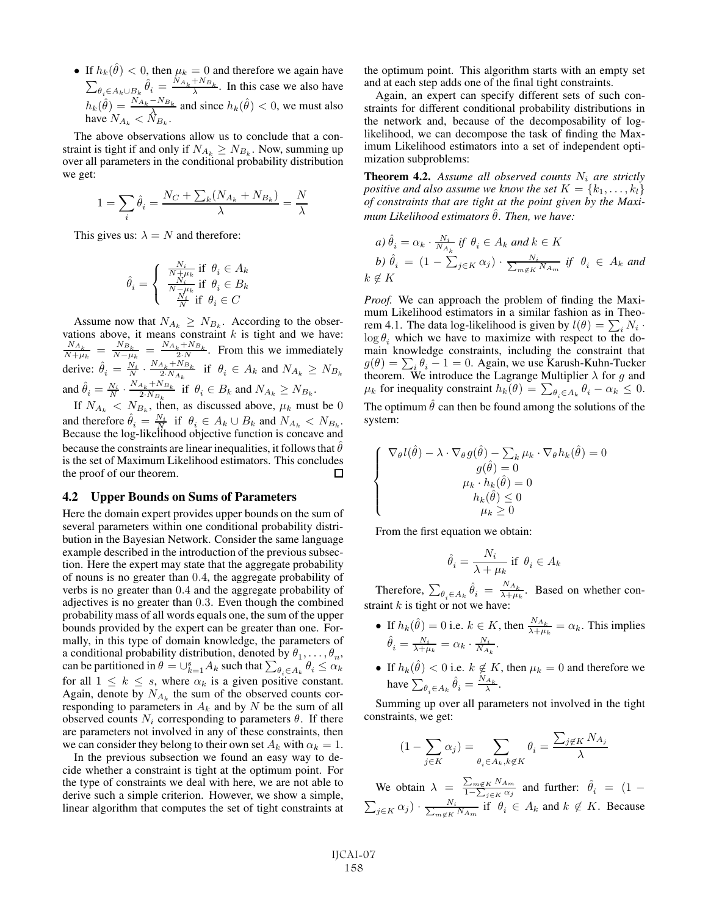• If  $h_k(\theta) < 0$ , then  $\mu_k = 0$  and therefore we again have  $\sum_{\theta_i \in A_k \cup B_k} \hat{\theta}_i = \frac{N_{A_k} + N_{B_k}}{\lambda}$ . In this case we also have  $h_k(\hat{\theta}) = \frac{N_{A_k} - N_{B_k}}{\lambda}$  and since  $h_k(\hat{\theta}) < 0$ , we must also have  $N_{A_k} < N_{B_k}$ .

The above observations allow us to conclude that a constraint is tight if and only if  $N_{A_k} \ge N_{B_k}$ . Now, summing up over all parameters in the conditional probability distribution we get:

$$
1 = \sum_{i} \hat{\theta}_{i} = \frac{N_C + \sum_{k} (N_{A_k} + N_{B_k})}{\lambda} = \frac{N}{\lambda}
$$

This gives us:  $\lambda = N$  and therefore:

$$
\hat{\theta}_i = \left\{ \begin{array}{c} \frac{N_i}{N + \mu_k} \text{ if } \theta_i \in A_k \\ \frac{N_i}{N - \mu_k} \text{ if } \theta_i \in B_k \\ \frac{N_i}{N} \text{ if } \theta_i \in C \end{array} \right.
$$

Assume now that  $N_{A_k} \geq N_{B_k}$ . According to the obser-<br>tions above it means constraint k is tight and we have: vations above, it means constraint k is tight and we have:<br>  $\frac{N_{A_k}}{N+\mu_k} = \frac{N_{B_k}}{N-\mu_k} = \frac{N_{A_k}+N_{B_k}}{N_A+N_B}$ . From this we immediately derive:  $\hat{\theta}_i = \frac{N_i}{N} \cdot \frac{N_{A_k} + N_{B_k}}{2 \cdot N_{A_k}}$  if  $\theta_i \in A_k$  and  $N_{A_k} \ge N_{B_k}$ and  $\hat{\theta}_i = \frac{N_i}{N} \cdot \frac{N_{A_k} + N_{B_k}}{2 \cdot N_{B_k}}$  if  $\theta_i \in B_k$  and  $N_{A_k} \ge N_{B_k}$ .

If  $N_{A_k} < N_{B_k}$ , then, as discussed above,  $\mu_k$  must be 0 and therefore  $\hat{\theta}_i = \frac{N_i}{N}$  if  $\theta_i \in A_k \cup B_k$  and  $N_{A_k} < N_{B_k}$ .<br>Because the log-likelihood objective function is concave and because the constraints are linear inequalities, it follows that  $\theta$ is the set of Maximum Likelihood estimators. This concludes the proof of our theorem.  $\Box$ 

#### 4.2 Upper Bounds on Sums of Parameters

Here the domain expert provides upper bounds on the sum of several parameters within one conditional probability distribution in the Bayesian Network. Consider the same language example described in the introduction of the previous subsection. Here the expert may state that the aggregate probability of nouns is no greater than 0.4, the aggregate probability of verbs is no greater than 0.4 and the aggregate probability of adjectives is no greater than 0.3. Even though the combined probability mass of all words equals one, the sum of the upper bounds provided by the expert can be greater than one. Formally, in this type of domain knowledge, the parameters of a conditional probability distribution, denoted by  $\theta_1, \ldots, \theta_n$ ,<br>can be partitioned in  $\theta = \Box^s$ ,  $A_L$  such that  $\sum_{\alpha} \theta_i \leq \alpha_L$ can be partitioned in  $\theta = \bigcup_{k=1}^{s} A_k$  such that  $\sum_{\theta_i \in A_k} \theta_i \leq \alpha_k$ for all  $1 \leq k \leq s$ , where  $\alpha_k$  is a given positive constant. Again, denote by  $N_{A_k}$  the sum of the observed counts corresponding to parameters in  $A_k$  and by N be the sum of all observed counts  $N_i$  corresponding to parameters  $\theta$ . If there are parameters not involved in any of these constraints, then we can consider they belong to their own set  $A_k$  with  $\alpha_k = 1$ .

In the previous subsection we found an easy way to decide whether a constraint is tight at the optimum point. For the type of constraints we deal with here, we are not able to derive such a simple criterion. However, we show a simple, linear algorithm that computes the set of tight constraints at the optimum point. This algorithm starts with an empty set and at each step adds one of the final tight constraints.

Again, an expert can specify different sets of such constraints for different conditional probability distributions in the network and, because of the decomposability of loglikelihood, we can decompose the task of finding the Maximum Likelihood estimators into a set of independent optimization subproblems:

**Theorem 4.2.** Assume all observed counts  $N_i$  are strictly *positive and also assume we know the set*  $K = \{k_1, \ldots, k_l\}$ *of constraints that are tight at the point given by the Maximum Likelihood estimators*  $\hat{\theta}$ *. Then, we have:* 

a) 
$$
\hat{\theta}_i = \alpha_k \cdot \frac{N_i}{N_{A_k}}
$$
 if  $\theta_i \in A_k$  and  $k \in K$   
b)  $\hat{\theta}_i = (1 - \sum_{j \in K} \alpha_j) \cdot \frac{N_i}{\sum_{m \notin K} N_{A_m}}$  if  $\theta_i \in A_k$  and  $k \notin K$ 

*Proof.* We can approach the problem of finding the Maximum Likelihood estimators in a similar fashion as in Theorem 4.1. The data log-likelihood is given by  $l(\theta) = \sum_i N_i \cdot$ <br>log  $\theta$ , which we have to maximize with respect to the do- $\log \theta_i$ , which we have to maximize with respect to the domain knowledge constraints, including the constraint that  $g(\theta) = \sum_i \theta_i - 1 = 0$ . Again, we use Karush-Kuhn-Tucker<br>theorem We introduce the Lagrange Multiplier  $\lambda$  for q and theorem. We introduce the Lagrange Multiplier  $\lambda$  for g and  $\mu_k$  for inequality constraint  $h_k(\theta) = \sum_{k=0}^{\infty} h_k - \alpha_k \leq 0$  $\mu_k$  for inequality constraint  $h_k(\theta) = \sum_{\theta_i \in A_k} \theta_i - \alpha_k \leq 0.$ The optimum  $\hat{\theta}$  can then be found among the solutions of the

system:

$$
\begin{cases} \nabla_{\theta} l(\hat{\theta}) - \lambda \cdot \nabla_{\theta} g(\hat{\theta}) - \sum_{k} \mu_{k} \cdot \nabla_{\theta} h_{k}(\hat{\theta}) = 0 \\ g(\hat{\theta}) = 0 \\ \mu_{k} \cdot h_{k}(\hat{\theta}) = 0 \\ h_{k}(\hat{\theta}) \leq 0 \\ \mu_{k} \geq 0 \end{cases}
$$

From the first equation we obtain:

$$
\hat{\theta}_i = \frac{N_i}{\lambda + \mu_k} \text{ if } \theta_i \in A_k
$$

Therefore,  $\sum_{\theta_i \in A_k} \hat{\theta}_i = \frac{N_{A_k}}{\lambda + \mu_k}$ . Based on whether constraint  $k$  is tight or not we have:

- If  $h_k(\hat{\theta}) = 0$  i.e.  $k \in K$ , then  $\frac{N_{A_k}}{\lambda + \mu_k} = \alpha_k$ . This implies  $\hat{\theta}_i = \frac{N_i}{\lambda + \mu_k} = \alpha_k \cdot \frac{N_i}{N_{A_k}}.$
- If  $h_k(\theta) < 0$  i.e.  $k \notin K$ , then  $\mu_k = 0$  and therefore we have  $\sum_{\theta_i \in A_k} \hat{\theta}_i = \frac{N_{A_k}}{\lambda}$ .

Summing up over all parameters not involved in the tight constraints, we get:

$$
(1 - \sum_{j \in K} \alpha_j) = \sum_{\theta_i \in A_k, k \notin K} \theta_i = \frac{\sum_{j \notin K} N_{A_j}}{\lambda}
$$

We obtain  $\lambda = \frac{\sum_{m \notin K} N_{A_m}}{1 - \sum_{j \in K} \alpha_j}$ We obtain  $\lambda = \frac{\sum_{j \in K} i_j \lambda_{m}}{1 - \sum_{j \in K} \alpha_j}$  and further:  $\theta_i = (1 - \sum_{i \in K} \alpha_i) \cdot \frac{N_i}{\sum_{i \in K} \alpha_i}$  if  $\theta_i \in A_k$  and  $k \notin K$ . Because  $\sum_{j\in K}\alpha_j\big)\cdot\frac{N_i}{\sum_{m\not\in K}}$  $\frac{N_i}{m \notin K}$   $N_{A_m}$  if  $\theta_i \in A_k$  and  $k \notin K$ . Because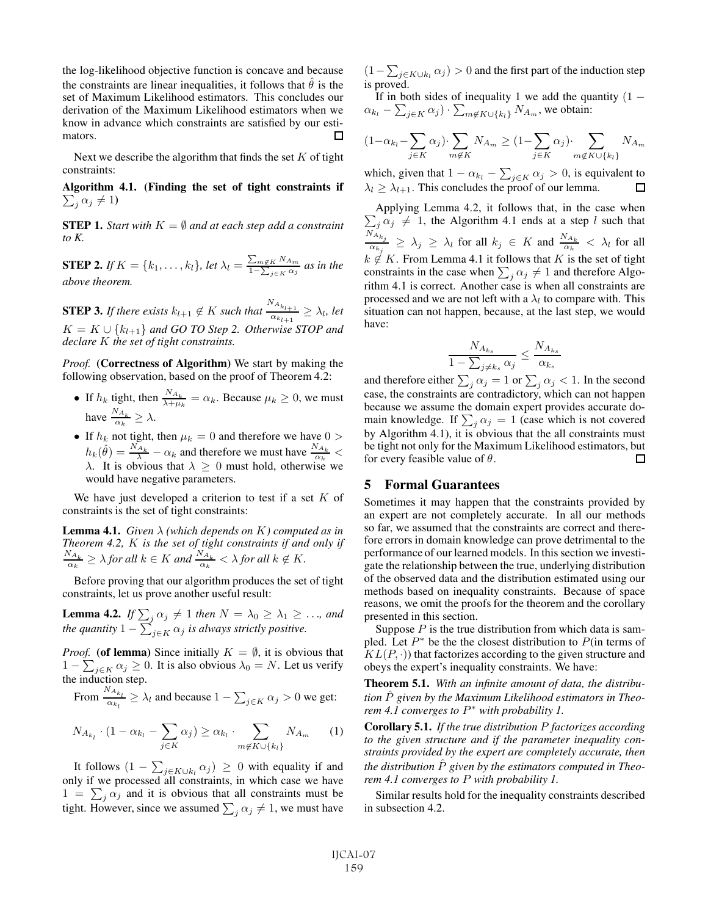the log-likelihood objective function is concave and because the constraints are linear inequalities, it follows that  $\hat{\theta}$  is the set of Maximum Likelihood estimators. This concludes our derivation of the Maximum Likelihood estimators when we know in advance which constraints are satisfied by our estimators. П

Next we describe the algorithm that finds the set  $K$  of tight constraints:

Algorithm 4.1. (Finding the set of tight constraints if  $\sum_j \alpha_j \neq 1$ 

**STEP 1.** *Start with*  $K = \emptyset$  *and at each step add a constraint to K.*

**STEP 2.** If  $K = \{k_1, \ldots, k_l\}$ , let  $\lambda_l = \frac{\sum_{m \notin K} N_{A_m}}{1 - \sum_{j \in K} \alpha_j}$  $\frac{\sum_{m\notin K}N_{Am}}{1-\sum_{j\in K}\alpha_j}$  as in the *above theorem.*

**STEP 3.** *If there exists*  $k_{l+1} \notin K$  *such that*  $\frac{N_{A_{k_{l+1}}}}{\alpha_{k_{l+1}}}$  $rac{\alpha_{k_{l+1}}}{\alpha_{k_{l+1}}} \geq \lambda_l$ , let  $K = K \cup \{k_{l+1}\}\$ and GO TO Step 2. Otherwise STOP and *declare* K *the set of tight constraints.*

*Proof.* (Correctness of Algorithm) We start by making the following observation, based on the proof of Theorem 4.2:

- If  $h_k$  tight, then  $\frac{N_{A_k}}{\lambda + \mu_k} = \alpha_k$ . Because  $\mu_k \ge 0$ , we must have  $\frac{N_{A_k}}{\alpha_k} \geq \lambda$ .
- If  $h_k$  not tight, then  $\mu_k = 0$  and therefore we have  $0 > h_k$  $h_k(\hat{\theta}) = \frac{N_{A_k}}{\lambda} - \alpha_k$  and therefore we must have  $\frac{N_{A_k}}{\alpha_k} < \lambda$ . It is obvious that  $\lambda \geq 0$  must hold, otherwise we would have negative parameters would have negative parameters.

We have just developed a criterion to test if a set  $K$  of constraints is the set of tight constraints:

Lemma 4.1. *Given* λ *(which depends on* K*) computed as in Theorem 4.2, K is the set of tight constraints if and only if*  $\frac{N_{A_k}}{\alpha_k} \geq \lambda$  *for all*  $k \in K$  *and*  $\frac{N_{A_k}}{\alpha_k} < \lambda$  *for all*  $k \notin K$ .

Before proving that our algorithm produces the set of tight constraints, let us prove another useful result:

**Lemma 4.2.** *If*  $\sum_{j} \alpha_j \neq 1$  *then*  $N = \lambda_0 \geq \lambda_1 \geq \ldots$ , and the quantity 1.  $\sum_{j} \alpha_j \neq 1$  *then* quantity 1. the quantity  $1 - \sum_{j \in K} \alpha_j$  is always strictly positive.

*Proof.* (of lemma) Since initially  $K = \emptyset$ , it is obvious that  $1 - \sum_{x \in \Omega} g(x) > 0$ . It is also obvious  $\lambda_0 = N$ . Let us verify  $1 - \sum_{j \in K} \alpha_j \ge 0$ . It is also obvious  $\lambda_0 = N$ . Let us verify the induction step. the induction step.

From  $\frac{N_{A_{k_l}}}{N}$  $\frac{\partial R_i}{\partial x_i} \geq \lambda_l$  and because  $1 - \sum_{j \in K} \alpha_j > 0$  we get:

$$
N_{A_{k_l}} \cdot (1 - \alpha_{k_l} - \sum_{j \in K} \alpha_j) \ge \alpha_{k_l} \cdot \sum_{m \notin K \cup \{k_l\}} N_{A_m} \qquad (1)
$$

It follows  $(1 - \sum_{j \in K \cup k_l} \alpha_j) \geq 0$  with equality if and<br>ly if we processed all constraints in which case we have only if we processed all constraints, in which case we have  $1 = \sum_j \alpha_j$  and it is obvious that all constraints must be<br>tight. However, since we assumed  $\sum_i \alpha_i \neq 1$ , we must have tight. However, since we assumed  $\sum_j \alpha_j \neq 1$ , we must have  $(1 - \sum_{j \in K \cup k_l} \alpha_j) > 0$  and the first part of the induction step is proved.

If in both sides of inequality 1 we add the quantity  $(1 \alpha_{k_l} - \sum_{j \in K} \alpha_j \cdot \sum_{m \notin K \cup \{k_l\}} N_{A_m}$ , we obtain:

$$
(1 - \alpha_{k_l} - \sum_{j \in K} \alpha_j) \cdot \sum_{m \notin K} N_{A_m} \ge (1 - \sum_{j \in K} \alpha_j) \cdot \sum_{m \notin K \cup \{k_l\}} N_{A_m}
$$

which, given that  $1 - \alpha_{k_l} - \sum_{j \in K} \alpha_j > 0$ , is equivalent to  $\lambda_l \geq \lambda_{l+1}$ . This concludes the proof of our lemma.

Applying Lemma 4.2, it follows that, in the case when  $\sum_i \alpha_i \neq 1$ , the Algorithm 4.1 ends at a step l such that  $\sum_{j} \alpha_j \neq 1$ , the Algorithm 4.1 ends at a step l such that<br>  $\sum_{j} N_{A_{kj}} > 1$ ,  $\sum_{j}$  for all  $h \in K$  and  $N_{A_k} > 1$  for all  $\frac{N_{A_{k_j}}}{N_{A_{k_j}}} \geq \lambda_j \geq \lambda_l$  for all  $k_j \in K$  and  $\frac{N_{A_k}}{\alpha_k} < \lambda_l$  for all  $k \notin K$ . From Lemma 4.1 it follows that K is the set of tight constraints in the case when  $\sum_j \alpha_j \neq 1$  and therefore Algo-<br>rithm 4.1 is correct. Another case is when all constraints are rithm 4.1 is correct. Another case is when all constraints are processed and we are not left with a  $\lambda_l$  to compare with. This situation can not happen, because, at the last step, we would have:

$$
\frac{N_{A_{k_s}}}{1 - \sum_{j \neq k_s} \alpha_j} \le \frac{N_{A_{k_s}}}{\alpha_{k_s}}
$$

 $1 - \sum_{j \neq k_s} \alpha_j$   $\alpha_{k_s}$ <br>and therefore either  $\sum_j \alpha_j = 1$  or  $\sum_j \alpha_j < 1$ . In the second case, the constraints are contradictory, which can not happen because we assume the domain expert provides accurate domain knowledge. If  $\sum_j \alpha_j = 1$  (case which is not covered<br>by Algorithm 4.1) it is obvious that the all constraints must by Algorithm 4.1), it is obvious that the all constraints must be tight not only for the Maximum Likelihood estimators, but for every feasible value of  $\theta$ .  $\Box$ 

## 5 Formal Guarantees

Sometimes it may happen that the constraints provided by an expert are not completely accurate. In all our methods so far, we assumed that the constraints are correct and therefore errors in domain knowledge can prove detrimental to the performance of our learned models. In this section we investigate the relationship between the true, underlying distribution of the observed data and the distribution estimated using our methods based on inequality constraints. Because of space reasons, we omit the proofs for the theorem and the corollary presented in this section.

Suppose  $P$  is the true distribution from which data is sampled. Let  $P^*$  be the the closest distribution to  $P$ (in terms of  $KL(P, \cdot)$ ) that factorizes according to the given structure and obeys the expert's inequality constraints. We have:

Theorem 5.1. *With an infinite amount of data, the distribution* P<sup>ˆ</sup> *given by the Maximum Likelihood estimators in Theorem 4.1 converges to* P<sup>∗</sup> *with probability 1.*

Corollary 5.1. *If the true distribution* P *factorizes according to the given structure and if the parameter inequality constraints provided by the expert are completely accurate, then the distribution*  $\hat{P}$  given by the estimators computed in Theo*rem 4.1 converges to* P *with probability 1.*

Similar results hold for the inequality constraints described in subsection 4.2.